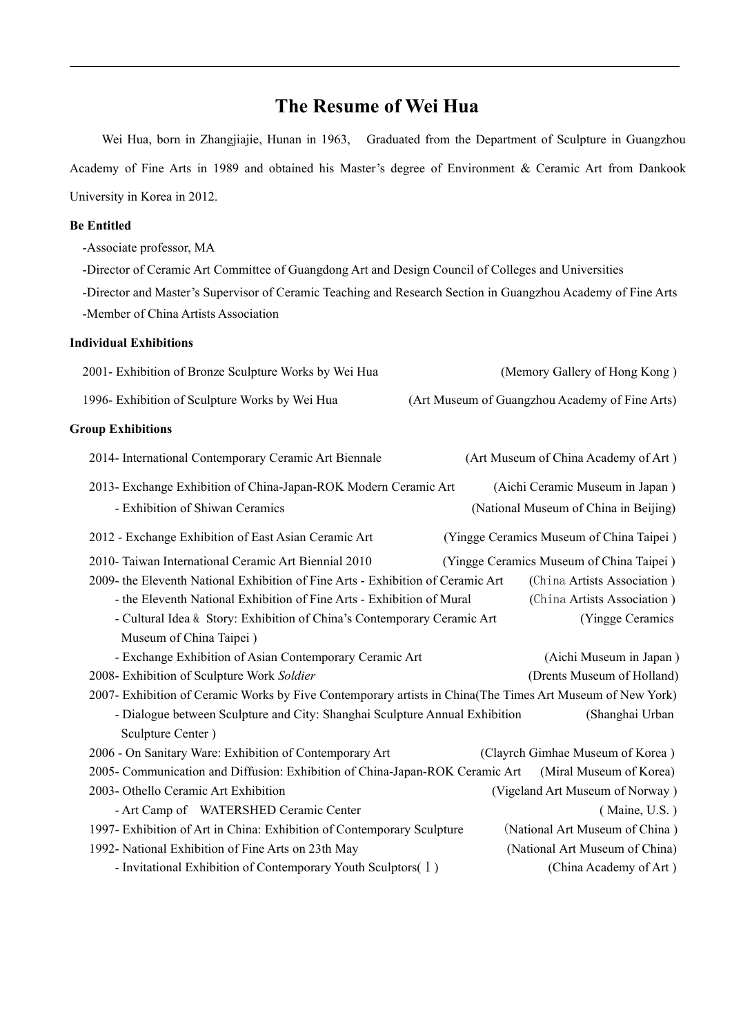# **The Resume of Wei Hua**

Wei Hua, born in Zhangjiajie, Hunan in 1963, Graduated from the Department of Sculpture in Guangzhou Academy of Fine Arts in 1989 and obtained his Master's degree of Environment & Ceramic Art from Dankook University in Korea in 2012.

#### **Be Entitled**

-Associate professor, MA

-Director of Ceramic Art Committee of Guangdong Art and Design Council of Colleges and Universities

-Director and Master's Supervisor of Ceramic Teaching and Research Section in Guangzhou Academy of Fine Arts -Member of China Artists Association

## **Individual Exhibitions**

| 2001- Exhibition of Bronze Sculpture Works by Wei Hua                                                     | (Memory Gallery of Hong Kong)                  |
|-----------------------------------------------------------------------------------------------------------|------------------------------------------------|
| 1996- Exhibition of Sculpture Works by Wei Hua                                                            | (Art Museum of Guangzhou Academy of Fine Arts) |
| <b>Group Exhibitions</b>                                                                                  |                                                |
| 2014- International Contemporary Ceramic Art Biennale                                                     | (Art Museum of China Academy of Art)           |
| 2013- Exchange Exhibition of China-Japan-ROK Modern Ceramic Art                                           | (Aichi Ceramic Museum in Japan)                |
| - Exhibition of Shiwan Ceramics                                                                           | (National Museum of China in Beijing)          |
| 2012 - Exchange Exhibition of East Asian Ceramic Art                                                      | (Yingge Ceramics Museum of China Taipei)       |
| 2010- Taiwan International Ceramic Art Biennial 2010                                                      | (Yingge Ceramics Museum of China Taipei)       |
| 2009- the Eleventh National Exhibition of Fine Arts - Exhibition of Ceramic Art                           | (China Artists Association)                    |
| - the Eleventh National Exhibition of Fine Arts - Exhibition of Mural                                     | (China Artists Association)                    |
| - Cultural Idea & Story: Exhibition of China's Contemporary Ceramic Art                                   | (Yingge Ceramics                               |
| Museum of China Taipei)                                                                                   |                                                |
| - Exchange Exhibition of Asian Contemporary Ceramic Art                                                   | (Aichi Museum in Japan)                        |
| 2008- Exhibition of Sculpture Work Soldier                                                                | (Drents Museum of Holland)                     |
| 2007- Exhibition of Ceramic Works by Five Contemporary artists in China(The Times Art Museum of New York) |                                                |
| - Dialogue between Sculpture and City: Shanghai Sculpture Annual Exhibition                               | (Shanghai Urban                                |
| Sculpture Center)                                                                                         |                                                |
| 2006 - On Sanitary Ware: Exhibition of Contemporary Art                                                   | (Clayrch Gimhae Museum of Korea)               |
| 2005- Communication and Diffusion: Exhibition of China-Japan-ROK Ceramic Art                              | (Miral Museum of Korea)                        |
| 2003- Othello Ceramic Art Exhibition                                                                      | (Vigeland Art Museum of Norway)                |
| - Art Camp of WATERSHED Ceramic Center                                                                    | (Maine, U.S.)                                  |
| 1997- Exhibition of Art in China: Exhibition of Contemporary Sculpture                                    | (National Art Museum of China)                 |
| 1992- National Exhibition of Fine Arts on 23th May                                                        | (National Art Museum of China)                 |
| - Invitational Exhibition of Contemporary Youth Sculptors( I)                                             | (China Academy of Art)                         |